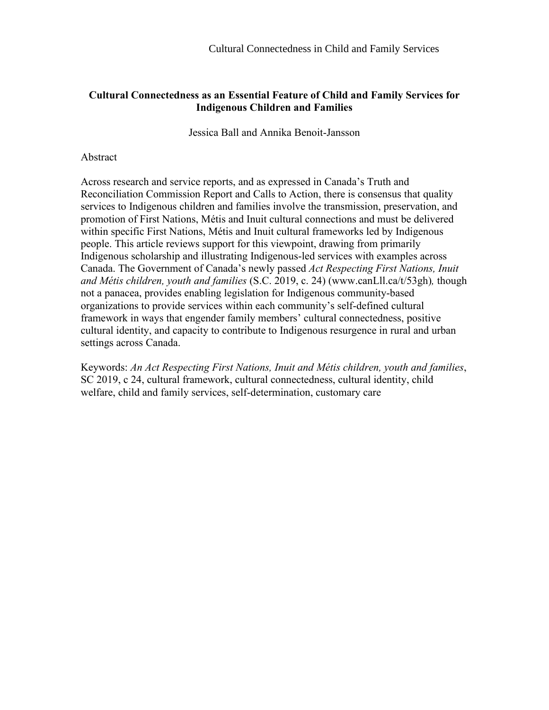# **Cultural Connectedness as an Essential Feature of Child and Family Services for Indigenous Children and Families**

Jessica Ball and Annika Benoit-Jansson

# Abstract

Across research and service reports, and as expressed in Canada's Truth and Reconciliation Commission Report and Calls to Action, there is consensus that quality services to Indigenous children and families involve the transmission, preservation, and promotion of First Nations, Métis and Inuit cultural connections and must be delivered within specific First Nations, Métis and Inuit cultural frameworks led by Indigenous people. This article reviews support for this viewpoint, drawing from primarily Indigenous scholarship and illustrating Indigenous-led services with examples across Canada. The Government of Canada's newly passed *Act Respecting First Nations, Inuit and Métis children, youth and families* (S.C. 2019, c. 24) (www.canLll.ca/t/53gh)*,* though not a panacea, provides enabling legislation for Indigenous community-based organizations to provide services within each community's self-defined cultural framework in ways that engender family members' cultural connectedness, positive cultural identity, and capacity to contribute to Indigenous resurgence in rural and urban settings across Canada.

Keywords: *An Act Respecting First Nations, Inuit and Métis children, youth and families*, SC 2019, c 24, cultural framework, cultural connectedness, cultural identity, child welfare, child and family services, self-determination, customary care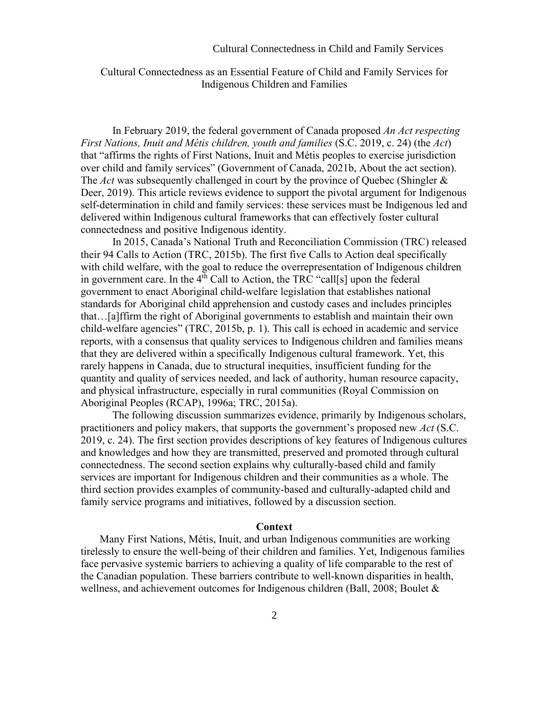### Cultural Connectedness in Child and Family Services

# Cultural Connectedness as an Essential Feature of Child and Family Services for Indigenous Children and Families

In February 2019, the federal government of Canada proposed *An Act respecting First Nations, Inuit and Métis children, youth and families* (S.C. 2019, c. 24) (the *Act*) that "affirms the rights of First Nations, Inuit and Métis peoples to exercise jurisdiction over child and family services" (Government of Canada, 2021b, About the act section). The *Act* was subsequently challenged in court by the province of Quebec (Shingler & Deer, 2019). This article reviews evidence to support the pivotal argument for Indigenous self-determination in child and family services: these services must be Indigenous led and delivered within Indigenous cultural frameworks that can effectively foster cultural connectedness and positive Indigenous identity.

In 2015, Canada's National Truth and Reconciliation Commission (TRC) released their 94 Calls to Action (TRC, 2015b). The first five Calls to Action deal specifically with child welfare, with the goal to reduce the overrepresentation of Indigenous children in government care. In the  $4<sup>th</sup>$  Call to Action, the TRC "call[s] upon the federal government to enact Aboriginal child-welfare legislation that establishes national standards for Aboriginal child apprehension and custody cases and includes principles that…[a]ffirm the right of Aboriginal governments to establish and maintain their own child-welfare agencies" (TRC, 2015b, p. 1). This call is echoed in academic and service reports, with a consensus that quality services to Indigenous children and families means that they are delivered within a specifically Indigenous cultural framework. Yet, this rarely happens in Canada, due to structural inequities, insufficient funding for the quantity and quality of services needed, and lack of authority, human resource capacity, and physical infrastructure, especially in rural communities (Royal Commission on Aboriginal Peoples (RCAP), 1996a; TRC, 2015a).

The following discussion summarizes evidence, primarily by Indigenous scholars, practitioners and policy makers, that supports the government's proposed new *Act* (S.C. 2019, c. 24). The first section provides descriptions of key features of Indigenous cultures and knowledges and how they are transmitted, preserved and promoted through cultural connectedness. The second section explains why culturally-based child and family services are important for Indigenous children and their communities as a whole. The third section provides examples of community-based and culturally-adapted child and family service programs and initiatives, followed by a discussion section.

### **Context**

Many First Nations, Métis, Inuit, and urban Indigenous communities are working tirelessly to ensure the well-being of their children and families. Yet, Indigenous families face pervasive systemic barriers to achieving a quality of life comparable to the rest of the Canadian population. These barriers contribute to well-known disparities in health, wellness, and achievement outcomes for Indigenous children (Ball, 2008; Boulet &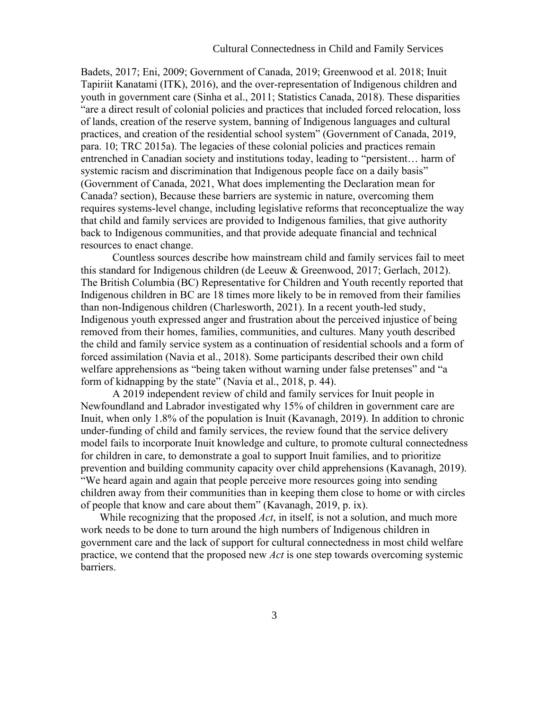Badets, 2017; Eni, 2009; Government of Canada, 2019; Greenwood et al. 2018; Inuit Tapiriit Kanatami (ITK), 2016), and the over-representation of Indigenous children and youth in government care (Sinha et al., 2011; Statistics Canada, 2018). These disparities "are a direct result of colonial policies and practices that included forced relocation, loss of lands, creation of the reserve system, banning of Indigenous languages and cultural practices, and creation of the residential school system" (Government of Canada, 2019, para. 10; TRC 2015a). The legacies of these colonial policies and practices remain entrenched in Canadian society and institutions today, leading to "persistent… harm of systemic racism and discrimination that Indigenous people face on a daily basis" (Government of Canada, 2021, What does implementing the Declaration mean for Canada? section), Because these barriers are systemic in nature, overcoming them requires systems-level change, including legislative reforms that reconceptualize the way that child and family services are provided to Indigenous families, that give authority back to Indigenous communities, and that provide adequate financial and technical resources to enact change.

Countless sources describe how mainstream child and family services fail to meet this standard for Indigenous children (de Leeuw & Greenwood, 2017; Gerlach, 2012). The British Columbia (BC) Representative for Children and Youth recently reported that Indigenous children in BC are 18 times more likely to be in removed from their families than non-Indigenous children (Charlesworth, 2021). In a recent youth-led study, Indigenous youth expressed anger and frustration about the perceived injustice of being removed from their homes, families, communities, and cultures. Many youth described the child and family service system as a continuation of residential schools and a form of forced assimilation (Navia et al., 2018). Some participants described their own child welfare apprehensions as "being taken without warning under false pretenses" and "a form of kidnapping by the state" (Navia et al., 2018, p. 44).

A 2019 independent review of child and family services for Inuit people in Newfoundland and Labrador investigated why 15% of children in government care are Inuit, when only 1.8% of the population is Inuit (Kavanagh, 2019). In addition to chronic under-funding of child and family services, the review found that the service delivery model fails to incorporate Inuit knowledge and culture, to promote cultural connectedness for children in care, to demonstrate a goal to support Inuit families, and to prioritize prevention and building community capacity over child apprehensions (Kavanagh, 2019). "We heard again and again that people perceive more resources going into sending children away from their communities than in keeping them close to home or with circles of people that know and care about them" (Kavanagh, 2019, p. ix).

While recognizing that the proposed *Act*, in itself, is not a solution, and much more work needs to be done to turn around the high numbers of Indigenous children in government care and the lack of support for cultural connectedness in most child welfare practice, we contend that the proposed new *Act* is one step towards overcoming systemic barriers.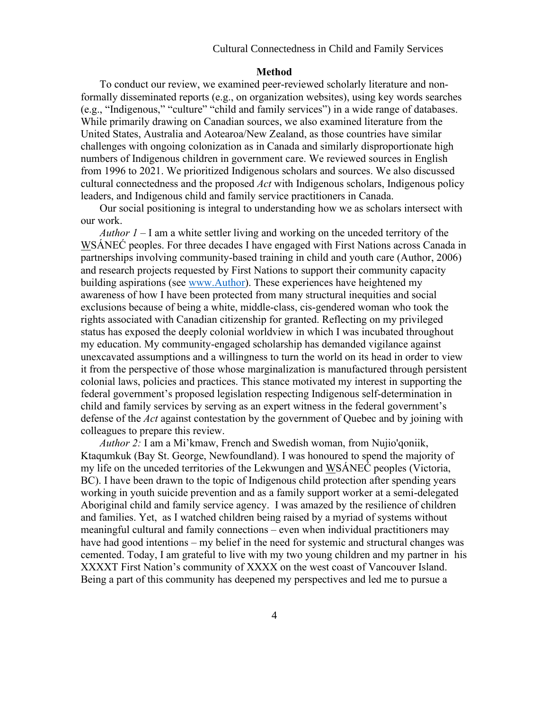## Cultural Connectedness in Child and Family Services

### **Method**

To conduct our review, we examined peer-reviewed scholarly literature and nonformally disseminated reports (e.g., on organization websites), using key words searches (e.g., "Indigenous," "culture" "child and family services") in a wide range of databases. While primarily drawing on Canadian sources, we also examined literature from the United States, Australia and Aotearoa/New Zealand, as those countries have similar challenges with ongoing colonization as in Canada and similarly disproportionate high numbers of Indigenous children in government care. We reviewed sources in English from 1996 to 2021. We prioritized Indigenous scholars and sources. We also discussed cultural connectedness and the proposed *Act* with Indigenous scholars, Indigenous policy leaders, and Indigenous child and family service practitioners in Canada.

Our social positioning is integral to understanding how we as scholars intersect with our work.

*Author 1* – I am a white settler living and working on the unceded territory of the WSÁNEĆ peoples. For three decades I have engaged with First Nations across Canada in partnerships involving community-based training in child and youth care (Author, 2006) and research projects requested by First Nations to support their community capacity building aspirations (see [www.Author\)](http://www.author/). These experiences have heightened my awareness of how I have been protected from many structural inequities and social exclusions because of being a white, middle-class, cis-gendered woman who took the rights associated with Canadian citizenship for granted. Reflecting on my privileged status has exposed the deeply colonial worldview in which I was incubated throughout my education. My community-engaged scholarship has demanded vigilance against unexcavated assumptions and a willingness to turn the world on its head in order to view it from the perspective of those whose marginalization is manufactured through persistent colonial laws, policies and practices. This stance motivated my interest in supporting the federal government's proposed legislation respecting Indigenous self-determination in child and family services by serving as an expert witness in the federal government's defense of the *Act* against contestation by the government of Quebec and by joining with colleagues to prepare this review.

*Author 2:* I am a Mi'kmaw, French and Swedish woman, from Nujio'qoniik, Ktaqumkuk (Bay St. George, Newfoundland). I was honoured to spend the majority of my life on the unceded territories of the Lekwungen and WSÁNEĆ peoples (Victoria, BC). I have been drawn to the topic of Indigenous child protection after spending years working in youth suicide prevention and as a family support worker at a semi-delegated Aboriginal child and family service agency. I was amazed by the resilience of children and families. Yet, as I watched children being raised by a myriad of systems without meaningful cultural and family connections – even when individual practitioners may have had good intentions – my belief in the need for systemic and structural changes was cemented. Today, I am grateful to live with my two young children and my partner in his XXXXT First Nation's community of XXXX on the west coast of Vancouver Island. Being a part of this community has deepened my perspectives and led me to pursue a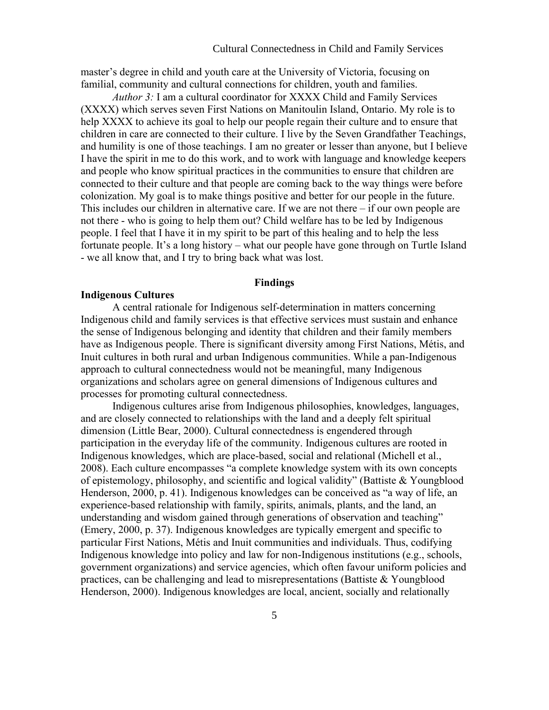master's degree in child and youth care at the University of Victoria, focusing on familial, community and cultural connections for children, youth and families.

*Author 3:* I am a cultural coordinator for XXXX Child and Family Services (XXXX) which serves seven First Nations on Manitoulin Island, Ontario. My role is to help XXXX to achieve its goal to help our people regain their culture and to ensure that children in care are connected to their culture. I live by the Seven Grandfather Teachings, and humility is one of those teachings. I am no greater or lesser than anyone, but I believe I have the spirit in me to do this work, and to work with language and knowledge keepers and people who know spiritual practices in the communities to ensure that children are connected to their culture and that people are coming back to the way things were before colonization. My goal is to make things positive and better for our people in the future. This includes our children in alternative care. If we are not there – if our own people are not there - who is going to help them out? Child welfare has to be led by Indigenous people. I feel that I have it in my spirit to be part of this healing and to help the less fortunate people. It's a long history – what our people have gone through on Turtle Island - we all know that, and I try to bring back what was lost.

### **Findings**

# **Indigenous Cultures**

A central rationale for Indigenous self-determination in matters concerning Indigenous child and family services is that effective services must sustain and enhance the sense of Indigenous belonging and identity that children and their family members have as Indigenous people. There is significant diversity among First Nations, Métis, and Inuit cultures in both rural and urban Indigenous communities. While a pan-Indigenous approach to cultural connectedness would not be meaningful, many Indigenous organizations and scholars agree on general dimensions of Indigenous cultures and processes for promoting cultural connectedness.

Indigenous cultures arise from Indigenous philosophies, knowledges, languages, and are closely connected to relationships with the land and a deeply felt spiritual dimension (Little Bear, 2000). Cultural connectedness is engendered through participation in the everyday life of the community. Indigenous cultures are rooted in Indigenous knowledges, which are place-based, social and relational (Michell et al., 2008). Each culture encompasses "a complete knowledge system with its own concepts of epistemology, philosophy, and scientific and logical validity" (Battiste & Youngblood Henderson, 2000, p. 41). Indigenous knowledges can be conceived as "a way of life, an experience-based relationship with family, spirits, animals, plants, and the land, an understanding and wisdom gained through generations of observation and teaching" (Emery, 2000, p. 37). Indigenous knowledges are typically emergent and specific to particular First Nations, Métis and Inuit communities and individuals. Thus, codifying Indigenous knowledge into policy and law for non-Indigenous institutions (e.g., schools, government organizations) and service agencies, which often favour uniform policies and practices, can be challenging and lead to misrepresentations (Battiste & Youngblood Henderson, 2000). Indigenous knowledges are local, ancient, socially and relationally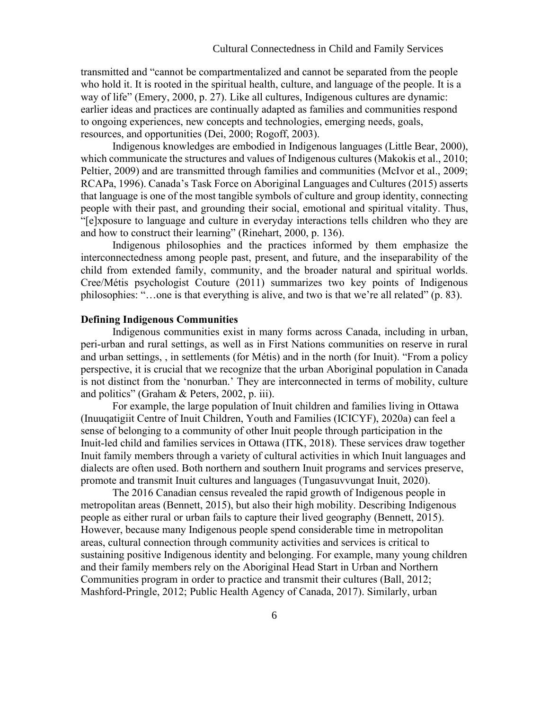transmitted and "cannot be compartmentalized and cannot be separated from the people who hold it. It is rooted in the spiritual health, culture, and language of the people. It is a way of life" (Emery, 2000, p. 27). Like all cultures, Indigenous cultures are dynamic: earlier ideas and practices are continually adapted as families and communities respond to ongoing experiences, new concepts and technologies, emerging needs, goals, resources, and opportunities (Dei, 2000; Rogoff, 2003).

Indigenous knowledges are embodied in Indigenous languages (Little Bear, 2000), which communicate the structures and values of Indigenous cultures (Makokis et al., 2010; Peltier, 2009) and are transmitted through families and communities (McIvor et al., 2009; RCAPa, 1996). Canada's Task Force on Aboriginal Languages and Cultures (2015) asserts that language is one of the most tangible symbols of culture and group identity, connecting people with their past, and grounding their social, emotional and spiritual vitality. Thus, "[e]xposure to language and culture in everyday interactions tells children who they are and how to construct their learning" (Rinehart, 2000, p. 136).

Indigenous philosophies and the practices informed by them emphasize the interconnectedness among people past, present, and future, and the inseparability of the child from extended family, community, and the broader natural and spiritual worlds. Cree/Métis psychologist Couture (2011) summarizes two key points of Indigenous philosophies: "…one is that everything is alive, and two is that we're all related" (p. 83).

## **Defining Indigenous Communities**

Indigenous communities exist in many forms across Canada, including in urban, peri-urban and rural settings, as well as in First Nations communities on reserve in rural and urban settings, , in settlements (for Métis) and in the north (for Inuit). "From a policy perspective, it is crucial that we recognize that the urban Aboriginal population in Canada is not distinct from the 'nonurban.' They are interconnected in terms of mobility, culture and politics" (Graham & Peters, 2002, p. iii).

For example, the large population of Inuit children and families living in Ottawa (Inuuqatigiit Centre of Inuit Children, Youth and Families (ICICYF), 2020a) can feel a sense of belonging to a community of other Inuit people through participation in the Inuit-led child and families services in Ottawa (ITK, 2018). These services draw together Inuit family members through a variety of cultural activities in which Inuit languages and dialects are often used. Both northern and southern Inuit programs and services preserve, promote and transmit Inuit cultures and languages (Tungasuvvungat Inuit, 2020).

The 2016 Canadian census revealed the rapid growth of Indigenous people in metropolitan areas (Bennett, 2015), but also their high mobility. Describing Indigenous people as either rural or urban fails to capture their lived geography (Bennett, 2015). However, because many Indigenous people spend considerable time in metropolitan areas, cultural connection through community activities and services is critical to sustaining positive Indigenous identity and belonging. For example, many young children and their family members rely on the Aboriginal Head Start in Urban and Northern Communities program in order to practice and transmit their cultures (Ball, 2012; Mashford-Pringle, 2012; Public Health Agency of Canada, 2017). Similarly, urban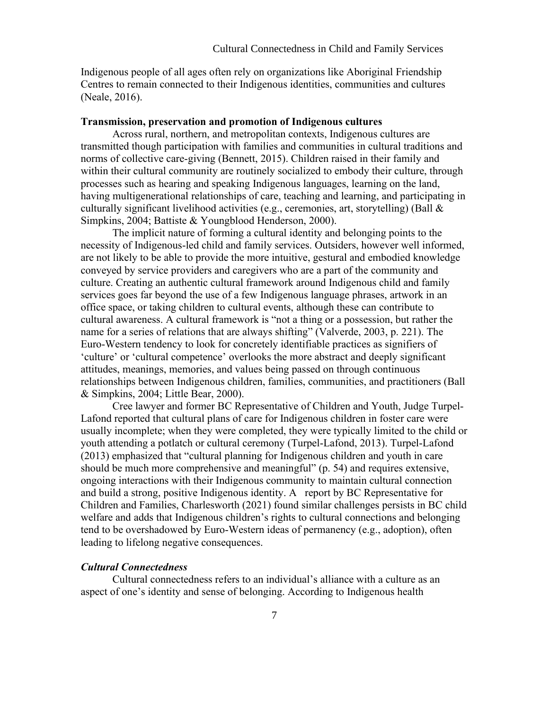Indigenous people of all ages often rely on organizations like Aboriginal Friendship Centres to remain connected to their Indigenous identities, communities and cultures (Neale, 2016).

### **Transmission, preservation and promotion of Indigenous cultures**

Across rural, northern, and metropolitan contexts, Indigenous cultures are transmitted though participation with families and communities in cultural traditions and norms of collective care-giving (Bennett, 2015). Children raised in their family and within their cultural community are routinely socialized to embody their culture, through processes such as hearing and speaking Indigenous languages, learning on the land, having multigenerational relationships of care, teaching and learning, and participating in culturally significant livelihood activities (e.g., ceremonies, art, storytelling) (Ball & Simpkins, 2004; Battiste & Youngblood Henderson, 2000).

The implicit nature of forming a cultural identity and belonging points to the necessity of Indigenous-led child and family services. Outsiders, however well informed, are not likely to be able to provide the more intuitive, gestural and embodied knowledge conveyed by service providers and caregivers who are a part of the community and culture. Creating an authentic cultural framework around Indigenous child and family services goes far beyond the use of a few Indigenous language phrases, artwork in an office space, or taking children to cultural events, although these can contribute to cultural awareness. A cultural framework is "not a thing or a possession, but rather the name for a series of relations that are always shifting" (Valverde, 2003, p. 221). The Euro-Western tendency to look for concretely identifiable practices as signifiers of 'culture' or 'cultural competence' overlooks the more abstract and deeply significant attitudes, meanings, memories, and values being passed on through continuous relationships between Indigenous children, families, communities, and practitioners (Ball & Simpkins, 2004; Little Bear, 2000).

Cree lawyer and former BC Representative of Children and Youth, Judge Turpel-Lafond reported that cultural plans of care for Indigenous children in foster care were usually incomplete; when they were completed, they were typically limited to the child or youth attending a potlatch or cultural ceremony (Turpel-Lafond, 2013). Turpel-Lafond (2013) emphasized that "cultural planning for Indigenous children and youth in care should be much more comprehensive and meaningful" (p. 54) and requires extensive, ongoing interactions with their Indigenous community to maintain cultural connection and build a strong, positive Indigenous identity. A report by BC Representative for Children and Families, Charlesworth (2021) found similar challenges persists in BC child welfare and adds that Indigenous children's rights to cultural connections and belonging tend to be overshadowed by Euro-Western ideas of permanency (e.g., adoption), often leading to lifelong negative consequences.

# *Cultural Connectedness*

Cultural connectedness refers to an individual's alliance with a culture as an aspect of one's identity and sense of belonging. According to Indigenous health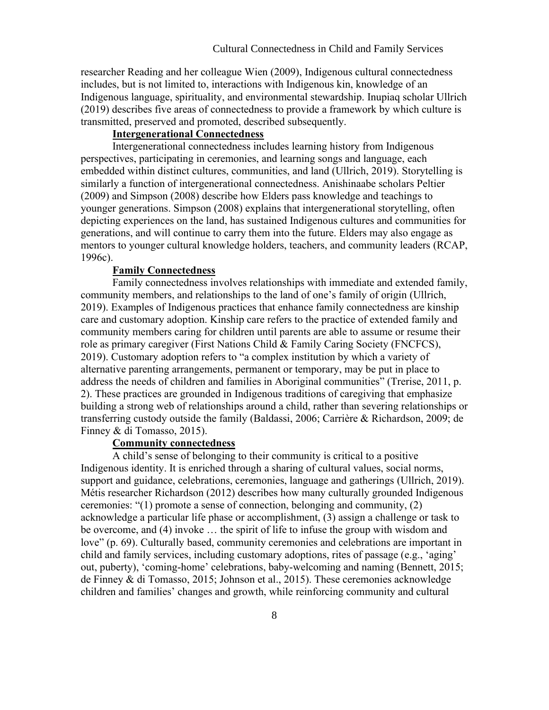researcher Reading and her colleague Wien (2009), Indigenous cultural connectedness includes, but is not limited to, interactions with Indigenous kin, knowledge of an Indigenous language, spirituality, and environmental stewardship. Inupiaq scholar Ullrich (2019) describes five areas of connectedness to provide a framework by which culture is transmitted, preserved and promoted, described subsequently.

# **Intergenerational Connectedness**

Intergenerational connectedness includes learning history from Indigenous perspectives, participating in ceremonies, and learning songs and language, each embedded within distinct cultures, communities, and land (Ullrich, 2019). Storytelling is similarly a function of intergenerational connectedness. Anishinaabe scholars Peltier (2009) and Simpson (2008) describe how Elders pass knowledge and teachings to younger generations. Simpson (2008) explains that intergenerational storytelling, often depicting experiences on the land, has sustained Indigenous cultures and communities for generations, and will continue to carry them into the future. Elders may also engage as mentors to younger cultural knowledge holders, teachers, and community leaders (RCAP, 1996c).

#### **Family Connectedness**

Family connectedness involves relationships with immediate and extended family, community members, and relationships to the land of one's family of origin (Ullrich, 2019). Examples of Indigenous practices that enhance family connectedness are kinship care and customary adoption. Kinship care refers to the practice of extended family and community members caring for children until parents are able to assume or resume their role as primary caregiver (First Nations Child & Family Caring Society (FNCFCS), 2019). Customary adoption refers to "a complex institution by which a variety of alternative parenting arrangements, permanent or temporary, may be put in place to address the needs of children and families in Aboriginal communities" (Trerise, 2011, p. 2). These practices are grounded in Indigenous traditions of caregiving that emphasize building a strong web of relationships around a child, rather than severing relationships or transferring custody outside the family (Baldassi, 2006; Carrière & Richardson, 2009; de Finney & di Tomasso, 2015).

# **Community connectedness**

A child's sense of belonging to their community is critical to a positive Indigenous identity. It is enriched through a sharing of cultural values, social norms, support and guidance, celebrations, ceremonies, language and gatherings (Ullrich, 2019). Métis researcher Richardson (2012) describes how many culturally grounded Indigenous ceremonies: "(1) promote a sense of connection, belonging and community, (2) acknowledge a particular life phase or accomplishment, (3) assign a challenge or task to be overcome, and (4) invoke … the spirit of life to infuse the group with wisdom and love" (p. 69). Culturally based, community ceremonies and celebrations are important in child and family services, including customary adoptions, rites of passage (e.g., 'aging' out, puberty), 'coming-home' celebrations, baby-welcoming and naming (Bennett, 2015; de Finney & di Tomasso, 2015; Johnson et al., 2015). These ceremonies acknowledge children and families' changes and growth, while reinforcing community and cultural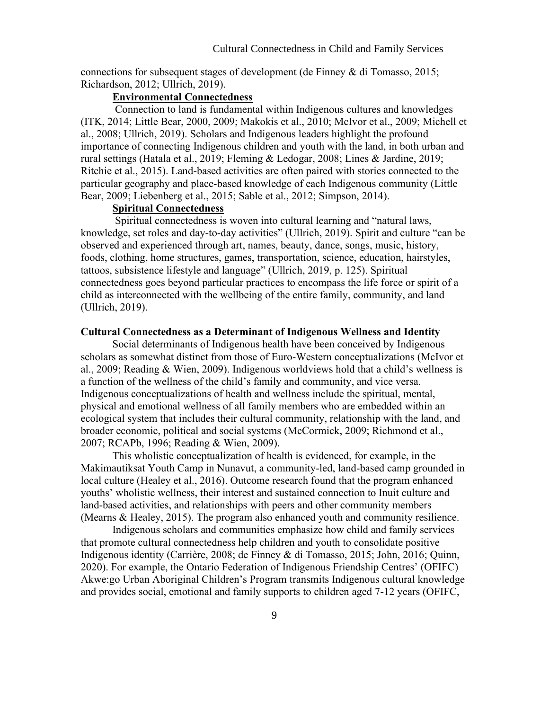connections for subsequent stages of development (de Finney & di Tomasso, 2015; Richardson, 2012; Ullrich, 2019).

# **Environmental Connectedness**

Connection to land is fundamental within Indigenous cultures and knowledges (ITK, 2014; Little Bear, 2000, 2009; Makokis et al., 2010; McIvor et al., 2009; Michell et al., 2008; Ullrich, 2019). Scholars and Indigenous leaders highlight the profound importance of connecting Indigenous children and youth with the land, in both urban and rural settings (Hatala et al., 2019; Fleming & Ledogar, 2008; Lines & Jardine, 2019; Ritchie et al., 2015). Land-based activities are often paired with stories connected to the particular geography and place-based knowledge of each Indigenous community (Little Bear, 2009; Liebenberg et al., 2015; Sable et al., 2012; Simpson, 2014).

## **Spiritual Connectedness**

Spiritual connectedness is woven into cultural learning and "natural laws, knowledge, set roles and day-to-day activities" (Ullrich, 2019). Spirit and culture "can be observed and experienced through art, names, beauty, dance, songs, music, history, foods, clothing, home structures, games, transportation, science, education, hairstyles, tattoos, subsistence lifestyle and language" (Ullrich, 2019, p. 125). Spiritual connectedness goes beyond particular practices to encompass the life force or spirit of a child as interconnected with the wellbeing of the entire family, community, and land (Ullrich, 2019).

## **Cultural Connectedness as a Determinant of Indigenous Wellness and Identity**

Social determinants of Indigenous health have been conceived by Indigenous scholars as somewhat distinct from those of Euro-Western conceptualizations (McIvor et al., 2009; Reading & Wien, 2009). Indigenous worldviews hold that a child's wellness is a function of the wellness of the child's family and community, and vice versa. Indigenous conceptualizations of health and wellness include the spiritual, mental, physical and emotional wellness of all family members who are embedded within an ecological system that includes their cultural community, relationship with the land, and broader economic, political and social systems (McCormick, 2009; Richmond et al., 2007; RCAPb, 1996; Reading & Wien, 2009).

This wholistic conceptualization of health is evidenced, for example, in the Makimautiksat Youth Camp in Nunavut, a community-led, land-based camp grounded in local culture (Healey et al., 2016). Outcome research found that the program enhanced youths' wholistic wellness, their interest and sustained connection to Inuit culture and land-based activities, and relationships with peers and other community members (Mearns & Healey, 2015). The program also enhanced youth and community resilience.

Indigenous scholars and communities emphasize how child and family services that promote cultural connectedness help children and youth to consolidate positive Indigenous identity (Carrière, 2008; de Finney & di Tomasso, 2015; John, 2016; Quinn, 2020). For example, the Ontario Federation of Indigenous Friendship Centres' (OFIFC) Akwe:go Urban Aboriginal Children's Program transmits Indigenous cultural knowledge and provides social, emotional and family supports to children aged 7-12 years (OFIFC,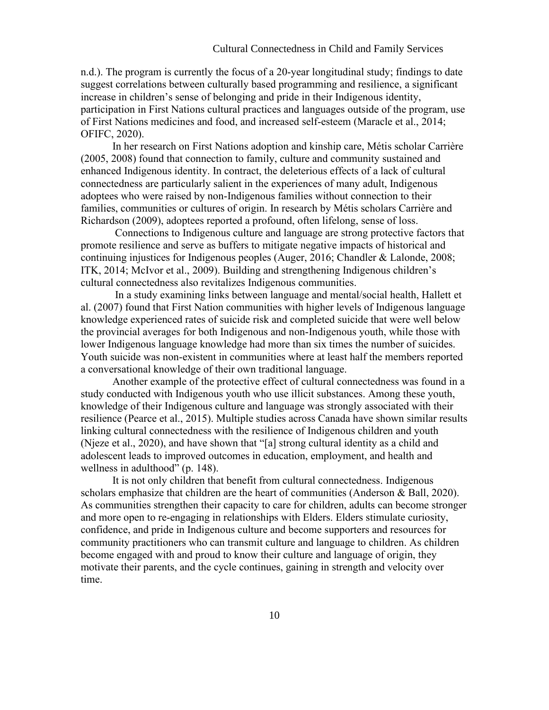n.d.). The program is currently the focus of a 20-year longitudinal study; findings to date suggest correlations between culturally based programming and resilience, a significant increase in children's sense of belonging and pride in their Indigenous identity, participation in First Nations cultural practices and languages outside of the program, use of First Nations medicines and food, and increased self-esteem (Maracle et al., 2014; OFIFC, 2020).

In her research on First Nations adoption and kinship care, Métis scholar Carrière (2005, 2008) found that connection to family, culture and community sustained and enhanced Indigenous identity. In contract, the deleterious effects of a lack of cultural connectedness are particularly salient in the experiences of many adult, Indigenous adoptees who were raised by non-Indigenous families without connection to their families, communities or cultures of origin. In research by Métis scholars Carrière and Richardson (2009), adoptees reported a profound, often lifelong, sense of loss.

Connections to Indigenous culture and language are strong protective factors that promote resilience and serve as buffers to mitigate negative impacts of historical and continuing injustices for Indigenous peoples (Auger, 2016; Chandler & Lalonde, 2008; ITK, 2014; McIvor et al., 2009). Building and strengthening Indigenous children's cultural connectedness also revitalizes Indigenous communities.

In a study examining links between language and mental/social health, Hallett et al. (2007) found that First Nation communities with higher levels of Indigenous language knowledge experienced rates of suicide risk and completed suicide that were well below the provincial averages for both Indigenous and non-Indigenous youth, while those with lower Indigenous language knowledge had more than six times the number of suicides. Youth suicide was non-existent in communities where at least half the members reported a conversational knowledge of their own traditional language.

Another example of the protective effect of cultural connectedness was found in a study conducted with Indigenous youth who use illicit substances. Among these youth, knowledge of their Indigenous culture and language was strongly associated with their resilience (Pearce et al., 2015). Multiple studies across Canada have shown similar results linking cultural connectedness with the resilience of Indigenous children and youth (Njeze et al., 2020), and have shown that "[a] strong cultural identity as a child and adolescent leads to improved outcomes in education, employment, and health and wellness in adulthood" (p. 148).

It is not only children that benefit from cultural connectedness. Indigenous scholars emphasize that children are the heart of communities (Anderson & Ball, 2020). As communities strengthen their capacity to care for children, adults can become stronger and more open to re-engaging in relationships with Elders. Elders stimulate curiosity, confidence, and pride in Indigenous culture and become supporters and resources for community practitioners who can transmit culture and language to children. As children become engaged with and proud to know their culture and language of origin, they motivate their parents, and the cycle continues, gaining in strength and velocity over time.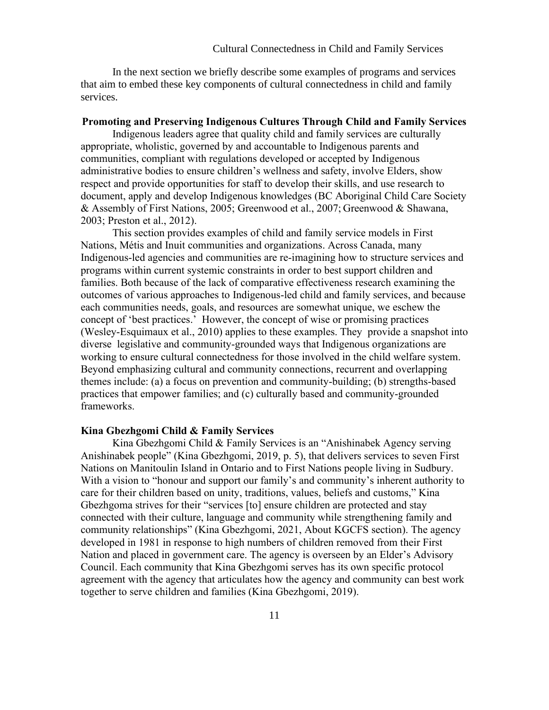In the next section we briefly describe some examples of programs and services that aim to embed these key components of cultural connectedness in child and family services.

#### **Promoting and Preserving Indigenous Cultures Through Child and Family Services**

Indigenous leaders agree that quality child and family services are culturally appropriate, wholistic, governed by and accountable to Indigenous parents and communities, compliant with regulations developed or accepted by Indigenous administrative bodies to ensure children's wellness and safety, involve Elders, show respect and provide opportunities for staff to develop their skills, and use research to document, apply and develop Indigenous knowledges (BC Aboriginal Child Care Society & Assembly of First Nations, 2005; Greenwood et al., 2007; Greenwood & Shawana, 2003; Preston et al., 2012).

This section provides examples of child and family service models in First Nations, Métis and Inuit communities and organizations. Across Canada, many Indigenous-led agencies and communities are re-imagining how to structure services and programs within current systemic constraints in order to best support children and families. Both because of the lack of comparative effectiveness research examining the outcomes of various approaches to Indigenous-led child and family services, and because each communities needs, goals, and resources are somewhat unique, we eschew the concept of 'best practices.' However, the concept of wise or promising practices (Wesley-Esquimaux et al., 2010) applies to these examples. They provide a snapshot into diverse legislative and community-grounded ways that Indigenous organizations are working to ensure cultural connectedness for those involved in the child welfare system. Beyond emphasizing cultural and community connections, recurrent and overlapping themes include: (a) a focus on prevention and community-building; (b) strengths-based practices that empower families; and (c) culturally based and community-grounded frameworks.

#### **Kina Gbezhgomi Child & Family Services**

Kina Gbezhgomi Child & Family Services is an "Anishinabek Agency serving Anishinabek people" (Kina Gbezhgomi, 2019, p. 5), that delivers services to seven First Nations on Manitoulin Island in Ontario and to First Nations people living in Sudbury. With a vision to "honour and support our family's and community's inherent authority to care for their children based on unity, traditions, values, beliefs and customs," Kina Gbezhgoma strives for their "services [to] ensure children are protected and stay connected with their culture, language and community while strengthening family and community relationships" (Kina Gbezhgomi, 2021, About KGCFS section). The agency developed in 1981 in response to high numbers of children removed from their First Nation and placed in government care. The agency is overseen by an Elder's Advisory Council. Each community that Kina Gbezhgomi serves has its own specific protocol agreement with the agency that articulates how the agency and community can best work together to serve children and families (Kina Gbezhgomi, 2019).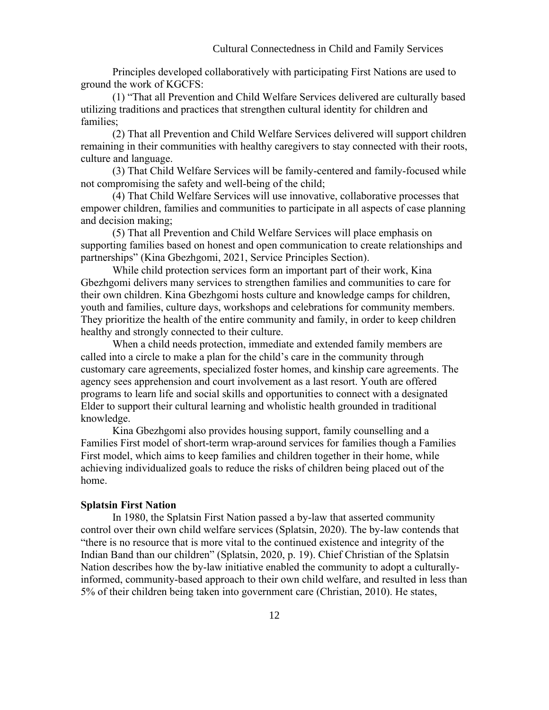Principles developed collaboratively with participating First Nations are used to ground the work of KGCFS:

(1) "That all Prevention and Child Welfare Services delivered are culturally based utilizing traditions and practices that strengthen cultural identity for children and families;

(2) That all Prevention and Child Welfare Services delivered will support children remaining in their communities with healthy caregivers to stay connected with their roots, culture and language.

(3) That Child Welfare Services will be family-centered and family-focused while not compromising the safety and well-being of the child;

(4) That Child Welfare Services will use innovative, collaborative processes that empower children, families and communities to participate in all aspects of case planning and decision making;

(5) That all Prevention and Child Welfare Services will place emphasis on supporting families based on honest and open communication to create relationships and partnerships" (Kina Gbezhgomi, 2021, Service Principles Section).

While child protection services form an important part of their work, Kina Gbezhgomi delivers many services to strengthen families and communities to care for their own children. Kina Gbezhgomi hosts culture and knowledge camps for children, youth and families, culture days, workshops and celebrations for community members. They prioritize the health of the entire community and family, in order to keep children healthy and strongly connected to their culture.

When a child needs protection, immediate and extended family members are called into a circle to make a plan for the child's care in the community through customary care agreements, specialized foster homes, and kinship care agreements. The agency sees apprehension and court involvement as a last resort. Youth are offered programs to learn life and social skills and opportunities to connect with a designated Elder to support their cultural learning and wholistic health grounded in traditional knowledge.

Kina Gbezhgomi also provides housing support, family counselling and a Families First model of short-term wrap-around services for families though a Families First model, which aims to keep families and children together in their home, while achieving individualized goals to reduce the risks of children being placed out of the home.

### **Splatsin First Nation**

In 1980, the Splatsin First Nation passed a by-law that asserted community control over their own child welfare services (Splatsin, 2020). The by-law contends that "there is no resource that is more vital to the continued existence and integrity of the Indian Band than our children" (Splatsin, 2020, p. 19). Chief Christian of the Splatsin Nation describes how the by-law initiative enabled the community to adopt a culturallyinformed, community-based approach to their own child welfare, and resulted in less than 5% of their children being taken into government care (Christian, 2010). He states,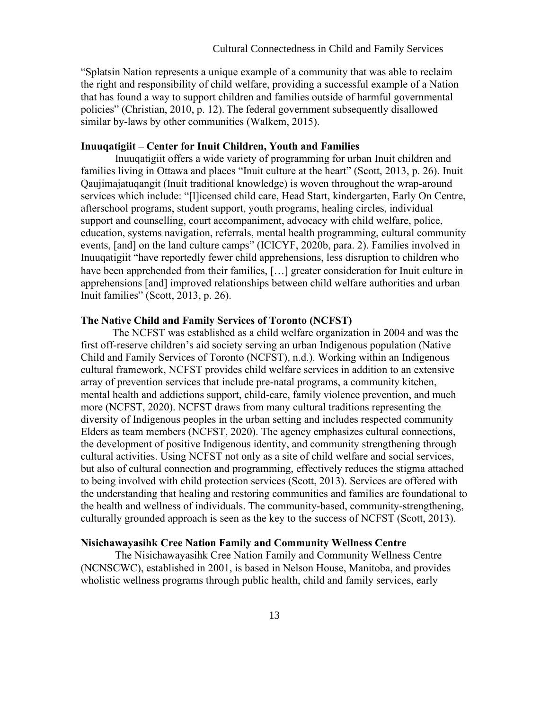"Splatsin Nation represents a unique example of a community that was able to reclaim the right and responsibility of child welfare, providing a successful example of a Nation that has found a way to support children and families outside of harmful governmental policies" (Christian, 2010, p. 12). The federal government subsequently disallowed similar by-laws by other communities (Walkem, 2015).

## **Inuuqatigiit – Center for Inuit Children, Youth and Families**

Inuuqatigiit offers a wide variety of programming for urban Inuit children and families living in Ottawa and places "Inuit culture at the heart" (Scott, 2013, p. 26). Inuit Qaujimajatuqangit (Inuit traditional knowledge) is woven throughout the wrap-around services which include: "[l]icensed child care, Head Start, kindergarten, Early On Centre, afterschool programs, student support, youth programs, healing circles, individual support and counselling, court accompaniment, advocacy with child welfare, police, education, systems navigation, referrals, mental health programming, cultural community events, [and] on the land culture camps" (ICICYF, 2020b, para. 2). Families involved in Inuuqatigiit "have reportedly fewer child apprehensions, less disruption to children who have been apprehended from their families, [...] greater consideration for Inuit culture in apprehensions [and] improved relationships between child welfare authorities and urban Inuit families" (Scott, 2013, p. 26).

# **The Native Child and Family Services of Toronto (NCFST)**

The NCFST was established as a child welfare organization in 2004 and was the first off-reserve children's aid society serving an urban Indigenous population (Native Child and Family Services of Toronto (NCFST), n.d.). Working within an Indigenous cultural framework, NCFST provides child welfare services in addition to an extensive array of prevention services that include pre-natal programs, a community kitchen, mental health and addictions support, child-care, family violence prevention, and much more (NCFST, 2020). NCFST draws from many cultural traditions representing the diversity of Indigenous peoples in the urban setting and includes respected community Elders as team members (NCFST, 2020). The agency emphasizes cultural connections, the development of positive Indigenous identity, and community strengthening through cultural activities. Using NCFST not only as a site of child welfare and social services, but also of cultural connection and programming, effectively reduces the stigma attached to being involved with child protection services (Scott, 2013). Services are offered with the understanding that healing and restoring communities and families are foundational to the health and wellness of individuals. The community-based, community-strengthening, culturally grounded approach is seen as the key to the success of NCFST (Scott, 2013).

# **Nisichawayasihk Cree Nation Family and Community Wellness Centre**

The Nisichawayasihk Cree Nation Family and Community Wellness Centre (NCNSCWC), established in 2001, is based in Nelson House, Manitoba, and provides wholistic wellness programs through public health, child and family services, early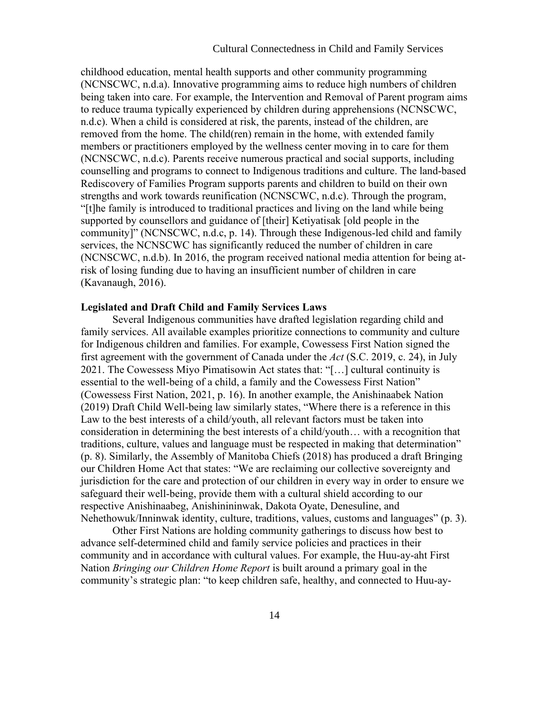childhood education, mental health supports and other community programming (NCNSCWC, n.d.a). Innovative programming aims to reduce high numbers of children being taken into care. For example, the Intervention and Removal of Parent program aims to reduce trauma typically experienced by children during apprehensions (NCNSCWC, n.d.c). When a child is considered at risk, the parents, instead of the children, are removed from the home. The child(ren) remain in the home, with extended family members or practitioners employed by the wellness center moving in to care for them (NCNSCWC, n.d.c). Parents receive numerous practical and social supports, including counselling and programs to connect to Indigenous traditions and culture. The land-based Rediscovery of Families Program supports parents and children to build on their own strengths and work towards reunification (NCNSCWC, n.d.c). Through the program, "[t]he family is introduced to traditional practices and living on the land while being supported by counsellors and guidance of [their] Ketiyatisak [old people in the community]" (NCNSCWC, n.d.c, p. 14). Through these Indigenous-led child and family services, the NCNSCWC has significantly reduced the number of children in care (NCNSCWC, n.d.b). In 2016, the program received national media attention for being atrisk of losing funding due to having an insufficient number of children in care (Kavanaugh, 2016).

### **Legislated and Draft Child and Family Services Laws**

Several Indigenous communities have drafted legislation regarding child and family services. All available examples prioritize connections to community and culture for Indigenous children and families. For example, Cowessess First Nation signed the first agreement with the government of Canada under the *Act* (S.C. 2019, c. 24), in July 2021. The Cowessess Miyo Pimatisowin Act states that: "[...] cultural continuity is essential to the well-being of a child, a family and the Cowessess First Nation" (Cowessess First Nation, 2021, p. 16). In another example, the Anishinaabek Nation (2019) Draft Child Well-being law similarly states, "Where there is a reference in this Law to the best interests of a child/youth, all relevant factors must be taken into consideration in determining the best interests of a child/youth… with a recognition that traditions, culture, values and language must be respected in making that determination" (p. 8). Similarly, the Assembly of Manitoba Chiefs (2018) has produced a draft Bringing our Children Home Act that states: "We are reclaiming our collective sovereignty and jurisdiction for the care and protection of our children in every way in order to ensure we safeguard their well-being, provide them with a cultural shield according to our respective Anishinaabeg, Anishinininwak, Dakota Oyate, Denesuline, and Nehethowuk/Inninwak identity, culture, traditions, values, customs and languages" (p. 3).

Other First Nations are holding community gatherings to discuss how best to advance self-determined child and family service policies and practices in their community and in accordance with cultural values. For example, the Huu-ay-aht First Nation *Bringing our Children Home Report* is built around a primary goal in the community's strategic plan: "to keep children safe, healthy, and connected to Huu-ay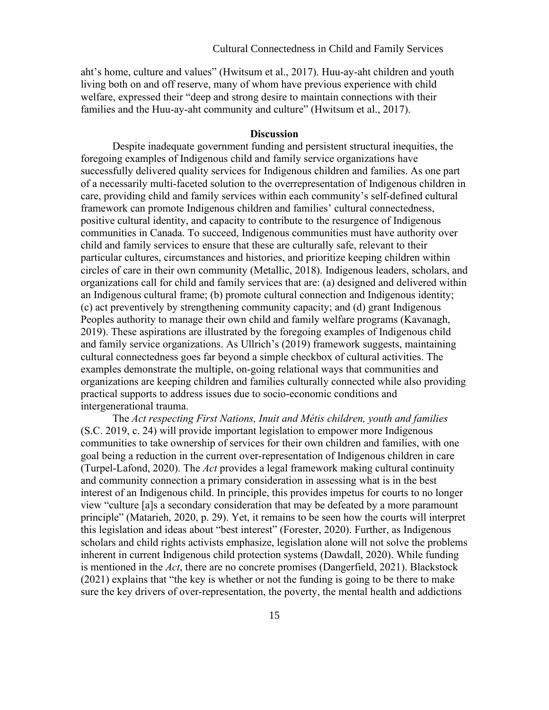aht's home, culture and values" (Hwitsum et al., 2017). Huu-ay-aht children and youth living both on and off reserve, many of whom have previous experience with child welfare, expressed their "deep and strong desire to maintain connections with their families and the Huu-ay-aht community and culture" (Hwitsum et al., 2017).

# **Discussion**

Despite inadequate government funding and persistent structural inequities, the foregoing examples of Indigenous child and family service organizations have successfully delivered quality services for Indigenous children and families. As one part of a necessarily multi-faceted solution to the overrepresentation of Indigenous children in care, providing child and family services within each community's self-defined cultural framework can promote Indigenous children and families' cultural connectedness, positive cultural identity, and capacity to contribute to the resurgence of Indigenous communities in Canada. To succeed, Indigenous communities must have authority over child and family services to ensure that these are culturally safe, relevant to their particular cultures, circumstances and histories, and prioritize keeping children within circles of care in their own community (Metallic, 2018). Indigenous leaders, scholars, and organizations call for child and family services that are: (a) designed and delivered within an Indigenous cultural frame; (b) promote cultural connection and Indigenous identity; (c) act preventively by strengthening community capacity; and (d) grant Indigenous Peoples authority to manage their own child and family welfare programs (Kavanagh, 2019). These aspirations are illustrated by the foregoing examples of Indigenous child and family service organizations. As Ullrich's (2019) framework suggests, maintaining cultural connectedness goes far beyond a simple checkbox of cultural activities. The examples demonstrate the multiple, on-going relational ways that communities and organizations are keeping children and families culturally connected while also providing practical supports to address issues due to socio-economic conditions and intergenerational trauma.

The *Act respecting First Nations, Inuit and Métis children, youth and families* (S.C. 2019, c. 24) will provide important legislation to empower more Indigenous communities to take ownership of services for their own children and families, with one goal being a reduction in the current over-representation of Indigenous children in care (Turpel-Lafond, 2020). The *Act* provides a legal framework making cultural continuity and community connection a primary consideration in assessing what is in the best interest of an Indigenous child. In principle, this provides impetus for courts to no longer view "culture [a]s a secondary consideration that may be defeated by a more paramount principle" (Matarieh, 2020, p. 29). Yet, it remains to be seen how the courts will interpret this legislation and ideas about "best interest" (Forester, 2020). Further, as Indigenous scholars and child rights activists emphasize, legislation alone will not solve the problems inherent in current Indigenous child protection systems (Dawdall, 2020). While funding is mentioned in the *Act*, there are no concrete promises (Dangerfield, 2021). Blackstock (2021) explains that "the key is whether or not the funding is going to be there to make sure the key drivers of over-representation, the poverty, the mental health and addictions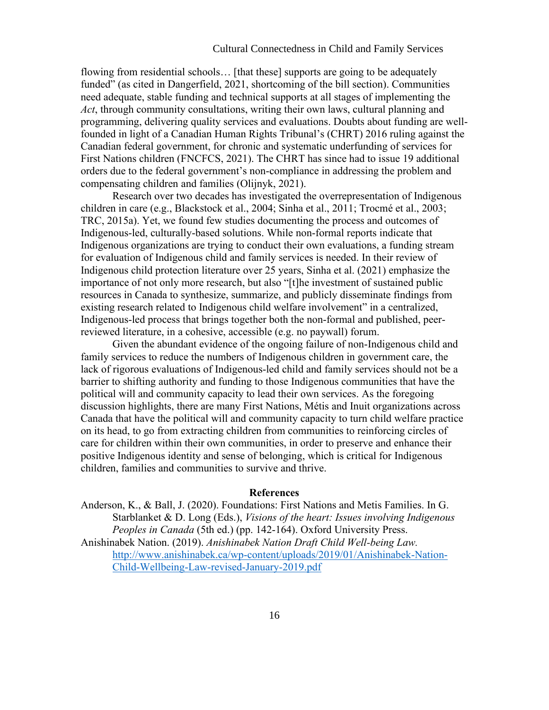## Cultural Connectedness in Child and Family Services

flowing from residential schools… [that these] supports are going to be adequately funded" (as cited in Dangerfield, 2021, shortcoming of the bill section). Communities need adequate, stable funding and technical supports at all stages of implementing the *Act*, through community consultations, writing their own laws, cultural planning and programming, delivering quality services and evaluations. Doubts about funding are wellfounded in light of a Canadian Human Rights Tribunal's (CHRT) 2016 ruling against the Canadian federal government, for chronic and systematic underfunding of services for First Nations children (FNCFCS, 2021). The CHRT has since had to issue 19 additional orders due to the federal government's non-compliance in addressing the problem and compensating children and families (Olijnyk, 2021).

Research over two decades has investigated the overrepresentation of Indigenous children in care (e.g., Blackstock et al., 2004; Sinha et al., 2011; Trocmé et al., 2003; TRC, 2015a). Yet, we found few studies documenting the process and outcomes of Indigenous-led, culturally-based solutions. While non-formal reports indicate that Indigenous organizations are trying to conduct their own evaluations, a funding stream for evaluation of Indigenous child and family services is needed. In their review of Indigenous child protection literature over 25 years, Sinha et al. (2021) emphasize the importance of not only more research, but also "[t]he investment of sustained public resources in Canada to synthesize, summarize, and publicly disseminate findings from existing research related to Indigenous child welfare involvement" in a centralized, Indigenous-led process that brings together both the non-formal and published, peerreviewed literature, in a cohesive, accessible (e.g. no paywall) forum.

Given the abundant evidence of the ongoing failure of non-Indigenous child and family services to reduce the numbers of Indigenous children in government care, the lack of rigorous evaluations of Indigenous-led child and family services should not be a barrier to shifting authority and funding to those Indigenous communities that have the political will and community capacity to lead their own services. As the foregoing discussion highlights, there are many First Nations, Métis and Inuit organizations across Canada that have the political will and community capacity to turn child welfare practice on its head, to go from extracting children from communities to reinforcing circles of care for children within their own communities, in order to preserve and enhance their positive Indigenous identity and sense of belonging, which is critical for Indigenous children, families and communities to survive and thrive.

#### **References**

Anderson, K., & Ball, J. (2020). Foundations: First Nations and Metis Families. In G. Starblanket & D. Long (Eds.), *Visions of the heart: Issues involving Indigenous Peoples in Canada* (5th ed.) (pp. 142-164). Oxford University Press. Anishinabek Nation. (2019). *Anishinabek Nation Draft Child Well-being Law.* [http://www.anishinabek.ca/wp-content/uploads/2019/01/Anishinabek-Nation-](http://www.anishinabek.ca/wp-content/uploads/2019/01/Anishinabek-Nation-Child-Wellbeing-Law-revised-January-2019.pdf)[Child-Wellbeing-Law-revised-January-2019.pdf](http://www.anishinabek.ca/wp-content/uploads/2019/01/Anishinabek-Nation-Child-Wellbeing-Law-revised-January-2019.pdf)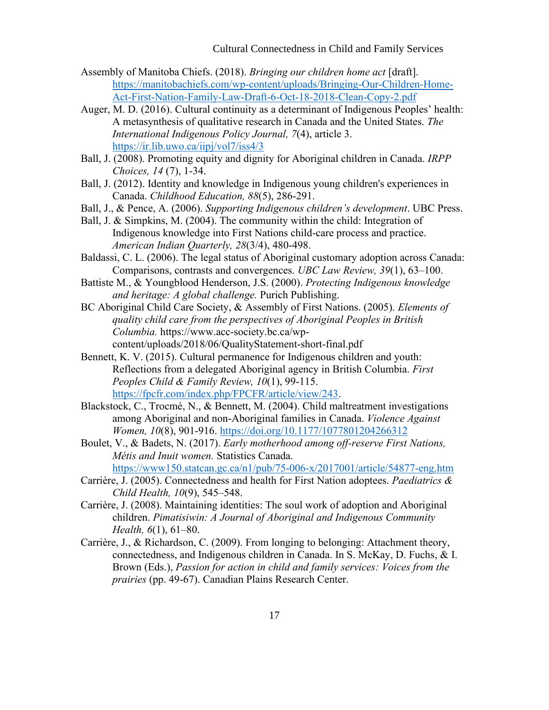- Assembly of Manitoba Chiefs. (2018). *Bringing our children home act* [draft]. [https://manitobachiefs.com/wp-content/uploads/Bringing-Our-Children-Home-](https://manitobachiefs.com/wp-content/uploads/Bringing-Our-Children-Home-Act-First-Nation-Family-Law-Draft-6-Oct-18-2018-Clean-Copy-2.pdf)[Act-First-Nation-Family-Law-Draft-6-Oct-18-2018-Clean-Copy-2.pdf](https://manitobachiefs.com/wp-content/uploads/Bringing-Our-Children-Home-Act-First-Nation-Family-Law-Draft-6-Oct-18-2018-Clean-Copy-2.pdf)
- Auger, M. D. (2016). Cultural continuity as a determinant of Indigenous Peoples' health: A metasynthesis of qualitative research in Canada and the United States. *The International Indigenous Policy Journal, 7*(4), article 3. <https://ir.lib.uwo.ca/iipj/vol7/iss4/3>
- Ball, J. (2008). Promoting equity and dignity for Aboriginal children in Canada. *IRPP Choices, 14* (7), 1-34.
- Ball, J. (2012). Identity and knowledge in Indigenous young children's experiences in Canada. *Childhood Education, 88*(5), 286-291.
- Ball, J., & Pence, A. (2006). *Supporting Indigenous children's development*. UBC Press.
- Ball, J. & Simpkins, M. (2004). The community within the child: Integration of Indigenous knowledge into First Nations child-care process and practice. *American Indian Quarterly, 28*(3/4), 480-498.
- Baldassi, C. L. (2006). The legal status of Aboriginal customary adoption across Canada: Comparisons, contrasts and convergences. *UBC Law Review, 39*(1), 63–100.
- Battiste M., & Youngblood Henderson, J.S. (2000). *Protecting Indigenous knowledge and heritage: A global challenge.* Purich Publishing.
- BC Aboriginal Child Care Society, & Assembly of First Nations. (2005). *Elements of quality child care from the perspectives of Aboriginal Peoples in British Columbia.* https://www.acc-society.bc.ca/wpcontent/uploads/2018/06/QualityStatement-short-final.pdf
- Bennett, K. V. (2015). Cultural permanence for Indigenous children and youth: Reflections from a delegated Aboriginal agency in British Columbia. *First Peoples Child & Family Review, 10*(1), 99-115. [https://fpcfr.com/index.php/FPCFR/article/view/243.](https://fpcfr.com/index.php/FPCFR/article/view/243)
- Blackstock, C., Trocmé, N., & Bennett, M. (2004). Child maltreatment investigations among Aboriginal and non-Aboriginal families in Canada. *Violence Against Women, 10*(8), 901-916.<https://doi.org/10.1177/1077801204266312>
- Boulet, V., & Badets, N. (2017). *Early motherhood among off-reserve First Nations, Métis and Inuit women.* Statistics Canada. <https://www150.statcan.gc.ca/n1/pub/75-006-x/2017001/article/54877-eng.htm>
- Carrière, J. (2005). Connectedness and health for First Nation adoptees. *Paediatrics & Child Health, 10*(9), 545–548.
- Carrière, J. (2008). Maintaining identities: The soul work of adoption and Aboriginal children. *Pimatisiwin: A Journal of Aboriginal and Indigenous Community Health, 6*(1), 61–80.
- Carrière, J., & Richardson, C. (2009). From longing to belonging: Attachment theory, connectedness, and Indigenous children in Canada. In S. McKay, D. Fuchs, & I. Brown (Eds.), *Passion for action in child and family services: Voices from the prairies* (pp. 49-67). Canadian Plains Research Center.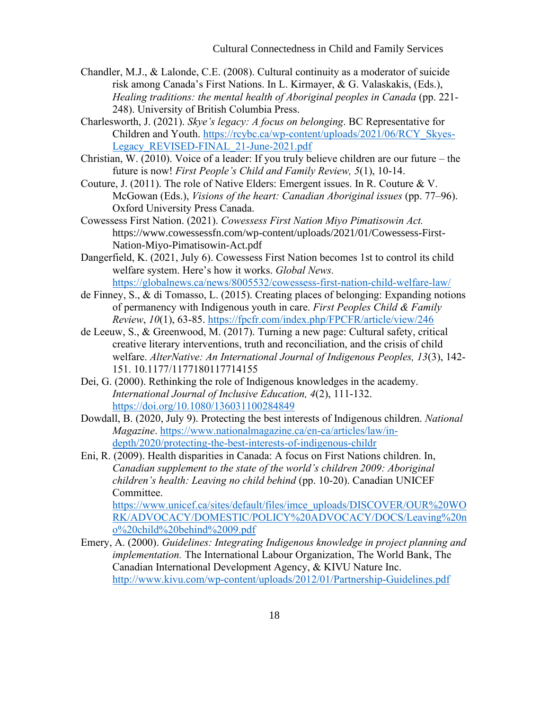- Chandler, M.J., & Lalonde, C.E. (2008). Cultural continuity as a moderator of suicide risk among Canada's First Nations. In L. Kirmayer, & G. Valaskakis, (Eds.), *Healing traditions: the mental health of Aboriginal peoples in Canada (pp. 221-*248). University of British Columbia Press.
- Charlesworth, J. (2021). *Skye's legacy: A focus on belonging*. BC Representative for Children and Youth. [https://rcybc.ca/wp-content/uploads/2021/06/RCY\\_Skyes-](https://rcybc.ca/wp-content/uploads/2021/06/RCY_Skyes-Legacy_REVISED-FINAL_21-June-2021.pdf)Legacy REVISED-FINAL 21-June-2021.pdf
- Christian, W. (2010). Voice of a leader: If you truly believe children are our future the future is now! *First People's Child and Family Review, 5*(1), 10-14.
- Couture, J. (2011). The role of Native Elders: Emergent issues. In R. Couture & V. McGowan (Eds.), *Visions of the heart: Canadian Aboriginal issues* (pp. 77–96). Oxford University Press Canada.
- Cowessess First Nation. (2021). *Cowessess First Nation Miyo Pimatisowin Act.* https://www.cowessessfn.com/wp-content/uploads/2021/01/Cowessess-First-Nation-Miyo-Pimatisowin-Act.pdf
- Dangerfield, K. (2021, July 6). Cowessess First Nation becomes 1st to control its child welfare system. Here's how it works. *Global News.*  <https://globalnews.ca/news/8005532/cowessess-first-nation-child-welfare-law/>
- de Finney, S., & di Tomasso, L. (2015). Creating places of belonging: Expanding notions of permanency with Indigenous youth in care. *First Peoples Child & Family Review*, *10*(1), 63-85.<https://fpcfr.com/index.php/FPCFR/article/view/246>
- de Leeuw, S., & Greenwood, M. (2017). Turning a new page: Cultural safety, critical creative literary interventions, truth and reconciliation, and the crisis of child welfare. *AlterNative: An International Journal of Indigenous Peoples, 13*(3), 142- 151. 10.1177/1177180117714155
- Dei, G. (2000). Rethinking the role of Indigenous knowledges in the academy. *International Journal of Inclusive Education, 4*(2), 111-132. <https://doi.org/10.1080/136031100284849>
- Dowdall, B. (2020, July 9). Protecting the best interests of Indigenous children. *National Magazine*. [https://www.nationalmagazine.ca/en-ca/articles/law/in](https://www.nationalmagazine.ca/en-ca/articles/law/in-depth/2020/protecting-the-best-interests-of-indigenous-childr)[depth/2020/protecting-the-best-interests-of-indigenous-childr](https://www.nationalmagazine.ca/en-ca/articles/law/in-depth/2020/protecting-the-best-interests-of-indigenous-childr)
- Eni, R. (2009). Health disparities in Canada: A focus on First Nations children. In, *Canadian supplement to the state of the world's children 2009: Aboriginal children's health: Leaving no child behind* (pp. 10-20). Canadian UNICEF Committee.

[https://www.unicef.ca/sites/default/files/imce\\_uploads/DISCOVER/OUR%20WO](https://www.unicef.ca/sites/default/files/imce_uploads/DISCOVER/OUR%20WORK/ADVOCACY/DOMESTIC/POLICY%20ADVOCACY/DOCS/Leaving%20no%20child%20behind%2009.pdf) [RK/ADVOCACY/DOMESTIC/POLICY%20ADVOCACY/DOCS/Leaving%20n](https://www.unicef.ca/sites/default/files/imce_uploads/DISCOVER/OUR%20WORK/ADVOCACY/DOMESTIC/POLICY%20ADVOCACY/DOCS/Leaving%20no%20child%20behind%2009.pdf) [o%20child%20behind%2009.pdf](https://www.unicef.ca/sites/default/files/imce_uploads/DISCOVER/OUR%20WORK/ADVOCACY/DOMESTIC/POLICY%20ADVOCACY/DOCS/Leaving%20no%20child%20behind%2009.pdf)

Emery, A. (2000). *Guidelines: Integrating Indigenous knowledge in project planning and implementation.* The International Labour Organization, The World Bank, The Canadian International Development Agency, & KIVU Nature Inc. <http://www.kivu.com/wp-content/uploads/2012/01/Partnership-Guidelines.pdf>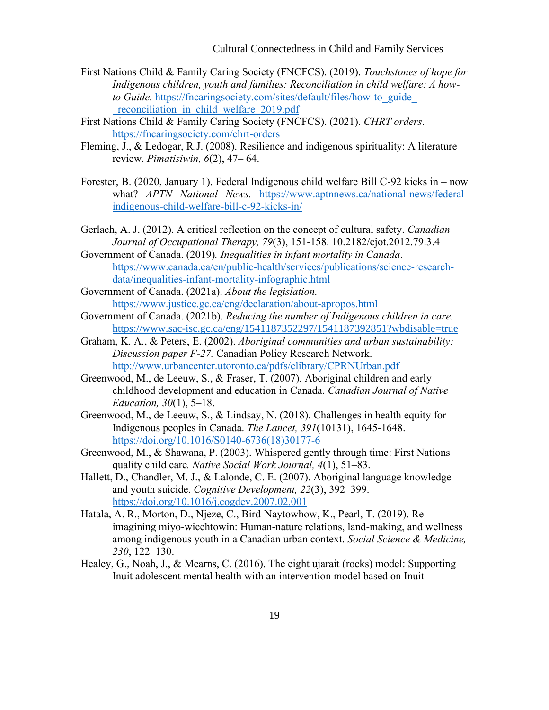Cultural Connectedness in Child and Family Services

- First Nations Child & Family Caring Society (FNCFCS). (2019). *Touchstones of hope for Indigenous children, youth and families: Reconciliation in child welfare: A howto Guide.* [https://fncaringsociety.com/sites/default/files/how-to\\_guide\\_](https://fncaringsociety.com/sites/default/files/how-to_guide_-_reconciliation_in_child_welfare_2019.pdf) reconciliation in child welfare 2019.pdf
- First Nations Child & Family Caring Society (FNCFCS). (2021). *CHRT orders*. <https://fncaringsociety.com/chrt-orders>
- Fleming, J., & Ledogar, R.J. (2008). Resilience and indigenous spirituality: A literature review. *Pimatisiwin, 6*(2), 47– 64.
- Forester, B. (2020, January 1). Federal Indigenous child welfare Bill C-92 kicks in now what? *APTN National News.* [https://www.aptnnews.ca/national-news/federal](https://www.aptnnews.ca/national-news/federal-indigenous-child-welfare-bill-c-92-kicks-in/)[indigenous-child-welfare-bill-c-92-kicks-in/](https://www.aptnnews.ca/national-news/federal-indigenous-child-welfare-bill-c-92-kicks-in/)
- Gerlach, A. J. (2012). A critical reflection on the concept of cultural safety. *Canadian Journal of Occupational Therapy, 79*(3), 151-158. 10.2182/cjot.2012.79.3.4
- Government of Canada. (2019)*. Inequalities in infant mortality in Canada*. [https://www.canada.ca/en/public-health/services/publications/science-research](https://www.canada.ca/en/public-health/services/publications/science-research-data/inequalities-infant-mortality-infographic.html)[data/inequalities-infant-mortality-infographic.html](https://www.canada.ca/en/public-health/services/publications/science-research-data/inequalities-infant-mortality-infographic.html)
- Government of Canada. (2021a). *About the legislation.*  <https://www.justice.gc.ca/eng/declaration/about-apropos.html>
- Government of Canada. (2021b). *Reducing the number of Indigenous children in care.* <https://www.sac-isc.gc.ca/eng/1541187352297/1541187392851?wbdisable=true>
- Graham, K. A., & Peters, E. (2002). *Aboriginal communities and urban sustainability: Discussion paper F-27.* Canadian Policy Research Network. <http://www.urbancenter.utoronto.ca/pdfs/elibrary/CPRNUrban.pdf>
- Greenwood, M., de Leeuw, S., & Fraser, T. (2007). Aboriginal children and early childhood development and education in Canada. *Canadian Journal of Native Education, 30*(1), 5–18.
- Greenwood, M., de Leeuw, S., & Lindsay, N. (2018). Challenges in health equity for Indigenous peoples in Canada. *The Lancet, 391*(10131), 1645-1648. [https://doi.org/10.1016/S0140-6736\(18\)30177-6](https://doi.org/10.1016/S0140-6736(18)30177-6)
- Greenwood, M., & Shawana, P. (2003). Whispered gently through time: First Nations quality child care*. Native Social Work Journal, 4*(1), 51–83.
- Hallett, D., Chandler, M. J., & Lalonde, C. E. (2007). Aboriginal language knowledge and youth suicide. *Cognitive Development, 22*(3), 392–399. <https://doi.org/10.1016/j.cogdev.2007.02.001>
- Hatala, A. R., Morton, D., Njeze, C., Bird-Naytowhow, K., Pearl, T. (2019). Reimagining miyo-wicehtowin: Human-nature relations, land-making, and wellness among indigenous youth in a Canadian urban context. *Social Science & Medicine, 230*, 122–130.
- Healey, G., Noah, J., & Mearns, C. (2016). The eight ujarait (rocks) model: Supporting Inuit adolescent mental health with an intervention model based on Inuit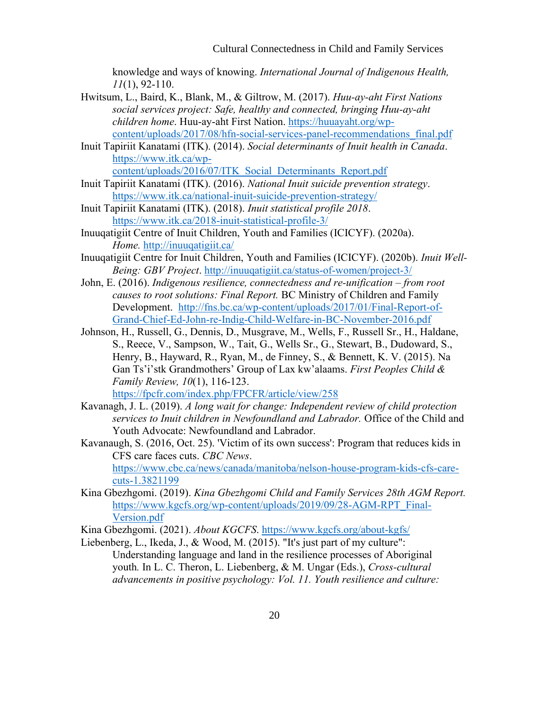knowledge and ways of knowing. *International Journal of Indigenous Health, 11*(1), 92-110.

- Hwitsum, L., Baird, K., Blank, M., & Giltrow, M. (2017). *Huu-ay-aht First Nations social services project: Safe, healthy and connected, bringing Huu-ay-aht children home*. Huu-ay-aht First Nation. [https://huuayaht.org/wp](https://huuayaht.org/wp-content/uploads/2017/08/hfn-social-services-panel-recommendations_final.pdf)[content/uploads/2017/08/hfn-social-services-panel-recommendations\\_final.pdf](https://huuayaht.org/wp-content/uploads/2017/08/hfn-social-services-panel-recommendations_final.pdf)
- Inuit Tapiriit Kanatami (ITK). (2014). *Social determinants of Inuit health in Canada*. [https://www.itk.ca/wp](https://www.itk.ca/wp-content/uploads/2016/07/ITK_Social_Determinants_Report.pdf)[content/uploads/2016/07/ITK\\_Social\\_Determinants\\_Report.pdf](https://www.itk.ca/wp-content/uploads/2016/07/ITK_Social_Determinants_Report.pdf)
- Inuit Tapiriit Kanatami (ITK). (2016). *National Inuit suicide prevention strategy*. <https://www.itk.ca/national-inuit-suicide-prevention-strategy/>
- Inuit Tapiriit Kanatami (ITK). (2018). *Inuit statistical profile 2018*. <https://www.itk.ca/2018-inuit-statistical-profile-3/>
- Inuuqatigiit Centre of Inuit Children, Youth and Families (ICICYF). (2020a). *Home.* <http://inuuqatigiit.ca/>
- Inuuqatigiit Centre for Inuit Children, Youth and Families (ICICYF). (2020b). *Inuit Well-Being: GBV Project*.<http://inuuqatigiit.ca/status-of-women/project-3/>
- John, E. (2016). *Indigenous resilience, connectedness and re-unification – from root causes to root solutions: Final Report.* BC Ministry of Children and Family Development. [http://fns.bc.ca/wp-content/uploads/2017/01/Final-Report-of-](http://fns.bc.ca/wp-content/uploads/2017/01/Final-Report-of-Grand-Chief-Ed-John-re-Indig-Child-Welfare-in-BC-November-2016.pdf)[Grand-Chief-Ed-John-re-Indig-Child-Welfare-in-BC-November-2016.pdf](http://fns.bc.ca/wp-content/uploads/2017/01/Final-Report-of-Grand-Chief-Ed-John-re-Indig-Child-Welfare-in-BC-November-2016.pdf)
- Johnson, H., Russell, G., Dennis, D., Musgrave, M., Wells, F., Russell Sr., H., Haldane, S., Reece, V., Sampson, W., Tait, G., Wells Sr., G., Stewart, B., Dudoward, S., Henry, B., Hayward, R., Ryan, M., de Finney, S., & Bennett, K. V. (2015). Na Gan Ts'i'stk Grandmothers' Group of Lax kw'alaams. *First Peoples Child & Family Review, 10*(1), 116-123.

<https://fpcfr.com/index.php/FPCFR/article/view/258>

- Kavanagh, J. L. (2019). *A long wait for change: Independent review of child protection services to Inuit children in Newfoundland and Labrador.* Office of the Child and Youth Advocate: Newfoundland and Labrador.
- Kavanaugh, S. (2016, Oct. 25). 'Victim of its own success': Program that reduces kids in CFS care faces cuts. *CBC News*. [https://www.cbc.ca/news/canada/manitoba/nelson-house-program-kids-cfs-care](https://www.cbc.ca/news/canada/manitoba/nelson-house-program-kids-cfs-care-cuts-1.3821199)[cuts-1.3821199](https://www.cbc.ca/news/canada/manitoba/nelson-house-program-kids-cfs-care-cuts-1.3821199)
- Kina Gbezhgomi. (2019). *Kina Gbezhgomi Child and Family Services 28th AGM Report.* [https://www.kgcfs.org/wp-content/uploads/2019/09/28-AGM-RPT\\_Final-](https://www.kgcfs.org/wp-content/uploads/2019/09/28-AGM-RPT_Final-Version.pdf)[Version.pdf](https://www.kgcfs.org/wp-content/uploads/2019/09/28-AGM-RPT_Final-Version.pdf)

Kina Gbezhgomi. (2021). *About KGCFS*.<https://www.kgcfs.org/about-kgfs/>

Liebenberg, L., Ikeda, J., & Wood, M. (2015). "It's just part of my culture": Understanding language and land in the resilience processes of Aboriginal youth*.* In L. C. Theron, L. Liebenberg, & M. Ungar (Eds.), *Cross-cultural advancements in positive psychology: Vol. 11. Youth resilience and culture:*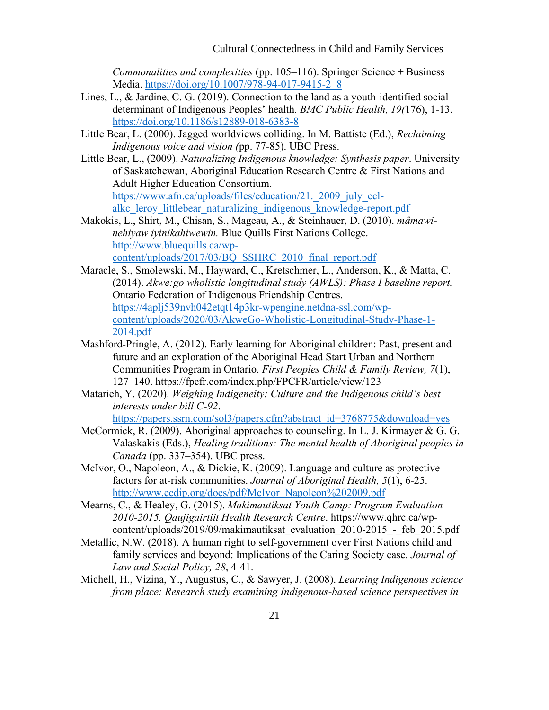*Commonalities and complexities* (pp. 105–116). Springer Science + Business Media. [https://doi.org/10.1007/978-94-017-9415-2\\_8](https://psycnet.apa.org/doi/10.1007/978-94-017-9415-2_8)

- Lines, L., & Jardine, C. G. (2019). Connection to the land as a youth-identified social determinant of Indigenous Peoples' health*. BMC Public Health, 19(*176), 1-13. <https://doi.org/10.1186/s12889-018-6383-8>
- Little Bear, L. (2000). Jagged worldviews colliding. In M. Battiste (Ed.), *Reclaiming Indigenous voice and vision (*pp. 77-85). UBC Press.
- Little Bear, L., (2009). *Naturalizing Indigenous knowledge: Synthesis paper*. University of Saskatchewan, Aboriginal Education Research Centre & First Nations and Adult Higher Education Consortium. https://www.afn.ca/uploads/files/education/21. 2009 july cclalkc leroy littlebear naturalizing indigenous knowledge-report.pdf
- Makokis, L., Shirt, M., Chisan, S., Mageau, A., & Steinhauer, D. (2010). *mâmawinehiyaw iyinikahiwewin.* Blue Quills First Nations College. [http://www.bluequills.ca/wp](http://www.bluequills.ca/wp-content/uploads/2017/03/BQ_SSHRC_2010_final_report.pdf)[content/uploads/2017/03/BQ\\_SSHRC\\_2010\\_final\\_report.pdf](http://www.bluequills.ca/wp-content/uploads/2017/03/BQ_SSHRC_2010_final_report.pdf)
- Maracle, S., Smolewski, M., Hayward, C., Kretschmer, L., Anderson, K., & Matta, C. (2014). *Akwe:go wholistic longitudinal study (AWLS): Phase I baseline report.* Ontario Federation of Indigenous Friendship Centres. [https://4aplj539nvh042etqt14p3kr-wpengine.netdna-ssl.com/wp](https://4aplj539nvh042etqt14p3kr-wpengine.netdna-ssl.com/wp-content/uploads/2020/03/AkweGo-Wholistic-Longitudinal-Study-Phase-1-2014.pdf)[content/uploads/2020/03/AkweGo-Wholistic-Longitudinal-Study-Phase-1-](https://4aplj539nvh042etqt14p3kr-wpengine.netdna-ssl.com/wp-content/uploads/2020/03/AkweGo-Wholistic-Longitudinal-Study-Phase-1-2014.pdf) [2014.pdf](https://4aplj539nvh042etqt14p3kr-wpengine.netdna-ssl.com/wp-content/uploads/2020/03/AkweGo-Wholistic-Longitudinal-Study-Phase-1-2014.pdf)
- Mashford-Pringle, A. (2012). Early learning for Aboriginal children: Past, present and future and an exploration of the Aboriginal Head Start Urban and Northern Communities Program in Ontario. *First Peoples Child & Family Review, 7*(1), 127–140. https://fpcfr.com/index.php/FPCFR/article/view/123
- Matarieh, Y. (2020). *Weighing Indigeneity: Culture and the Indigenous child's best interests under bill C-92*.

[https://papers.ssrn.com/sol3/papers.cfm?abstract\\_id=3768775&download=yes](https://papers.ssrn.com/sol3/papers.cfm?abstract_id=3768775&download=yes)

- McCormick, R. (2009). Aboriginal approaches to counseling. In L. J. Kirmayer & G. G. Valaskakis (Eds.), *Healing traditions: The mental health of Aboriginal peoples in Canada* (pp. 337–354). UBC press.
- McIvor, O., Napoleon, A., & Dickie, K. (2009). Language and culture as protective factors for at-risk communities. *Journal of Aboriginal Health, 5*(1), 6-25. [http://www.ecdip.org/docs/pdf/McIvor\\_Napoleon%202009.pdf](http://www.ecdip.org/docs/pdf/McIvor_Napoleon%202009.pdf)
- Mearns, C., & Healey, G. (2015). *Makimautiksat Youth Camp: Program Evaluation 2010-2015. Qaujigairtiit Health Research Centre*. https://www.qhrc.ca/wpcontent/uploads/2019/09/makimautiksat\_evaluation\_2010-2015\_-\_feb\_2015.pdf
- Metallic, N.W. (2018). A human right to self-government over First Nations child and family services and beyond: Implications of the Caring Society case. *Journal of Law and Social Policy, 28*, 4-41.
- Michell, H., Vizina, Y., Augustus, C., & Sawyer, J. (2008). *Learning Indigenous science from place: Research study examining Indigenous-based science perspectives in*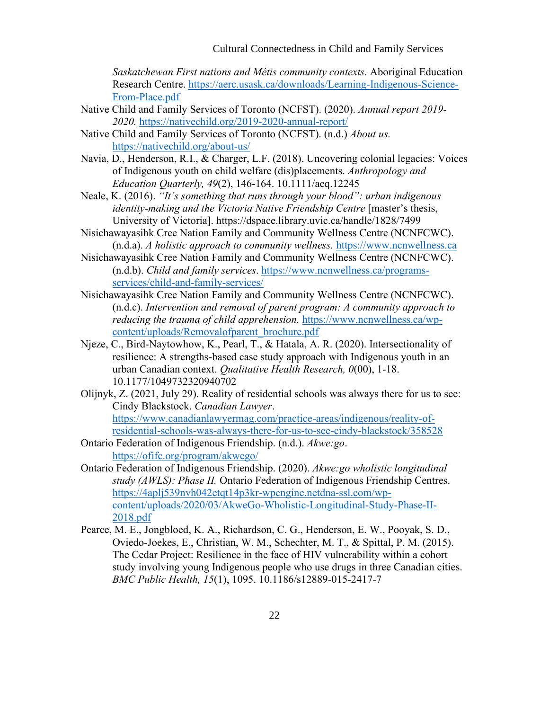*Saskatchewan First nations and Métis community contexts.* Aboriginal Education Research Centre. [https://aerc.usask.ca/downloads/Learning-Indigenous-Science-](https://aerc.usask.ca/downloads/Learning-Indigenous-Science-From-Place.pdf)[From-Place.pdf](https://aerc.usask.ca/downloads/Learning-Indigenous-Science-From-Place.pdf)

- Native Child and Family Services of Toronto (NCFST). (2020). *Annual report 2019- 2020.* <https://nativechild.org/2019-2020-annual-report/>
- Native Child and Family Services of Toronto (NCFST). (n.d.) *About us.*  <https://nativechild.org/about-us/>
- Navia, D., Henderson, R.I., & Charger, L.F. (2018). Uncovering colonial legacies: Voices of Indigenous youth on child welfare (dis)placements. *Anthropology and Education Quarterly, 49*(2), 146-164. 10.1111/aeq.12245
- Neale, K. (2016). *"It's something that runs through your blood": urban indigenous identity-making and the Victoria Native Friendship Centre* [master's thesis, University of Victoria]. https://dspace.library.uvic.ca/handle/1828/7499
- Nisichawayasihk Cree Nation Family and Community Wellness Centre (NCNFCWC). (n.d.a). *A holistic approach to community wellness.* [https://www.ncnwellness.ca](https://www.ncnwellness.ca/)
- Nisichawayasihk Cree Nation Family and Community Wellness Centre (NCNFCWC). (n.d.b). *Child and family services*. [https://www.ncnwellness.ca/programs](https://www.ncnwellness.ca/programs-services/child-and-family-services/)[services/child-and-family-services/](https://www.ncnwellness.ca/programs-services/child-and-family-services/)
- Nisichawayasihk Cree Nation Family and Community Wellness Centre (NCNFCWC). (n.d.c). *Intervention and removal of parent program: A community approach to reducing the trauma of child apprehension.* [https://www.ncnwellness.ca/wp](https://www.ncnwellness.ca/wp-content/uploads/Removalofparent_brochure.pdf)[content/uploads/Removalofparent\\_brochure.pdf](https://www.ncnwellness.ca/wp-content/uploads/Removalofparent_brochure.pdf)
- Njeze, C., Bird-Naytowhow, K., Pearl, T., & Hatala, A. R. (2020). Intersectionality of resilience: A strengths-based case study approach with Indigenous youth in an urban Canadian context. *Qualitative Health Research, 0*(00), 1-18. 10.1177/1049732320940702
- Olijnyk, Z. (2021, July 29). Reality of residential schools was always there for us to see: Cindy Blackstock. *Canadian Lawyer*. [https://www.canadianlawyermag.com/practice-areas/indigenous/reality-of](https://www.canadianlawyermag.com/practice-areas/indigenous/reality-of-residential-schools-was-always-there-for-us-to-see-cindy-blackstock/358528)[residential-schools-was-always-there-for-us-to-see-cindy-blackstock/358528](https://www.canadianlawyermag.com/practice-areas/indigenous/reality-of-residential-schools-was-always-there-for-us-to-see-cindy-blackstock/358528)
- Ontario Federation of Indigenous Friendship. (n.d.). *Akwe:go*. <https://ofifc.org/program/akwego/>
- Ontario Federation of Indigenous Friendship. (2020). *Akwe:go wholistic longitudinal study (AWLS): Phase II.* Ontario Federation of Indigenous Friendship Centres. [https://4aplj539nvh042etqt14p3kr-wpengine.netdna-ssl.com/wp](https://4aplj539nvh042etqt14p3kr-wpengine.netdna-ssl.com/wp-content/uploads/2020/03/AkweGo-Wholistic-Longitudinal-Study-Phase-II-2018.pdf)[content/uploads/2020/03/AkweGo-Wholistic-Longitudinal-Study-Phase-II-](https://4aplj539nvh042etqt14p3kr-wpengine.netdna-ssl.com/wp-content/uploads/2020/03/AkweGo-Wholistic-Longitudinal-Study-Phase-II-2018.pdf)[2018.pdf](https://4aplj539nvh042etqt14p3kr-wpengine.netdna-ssl.com/wp-content/uploads/2020/03/AkweGo-Wholistic-Longitudinal-Study-Phase-II-2018.pdf)
- Pearce, M. E., Jongbloed, K. A., Richardson, C. G., Henderson, E. W., Pooyak, S. D., Oviedo-Joekes, E., Christian, W. M., Schechter, M. T., & Spittal, P. M. (2015). The Cedar Project: Resilience in the face of HIV vulnerability within a cohort study involving young Indigenous people who use drugs in three Canadian cities. *BMC Public Health, 15*(1), 1095. 10.1186/s12889-015-2417-7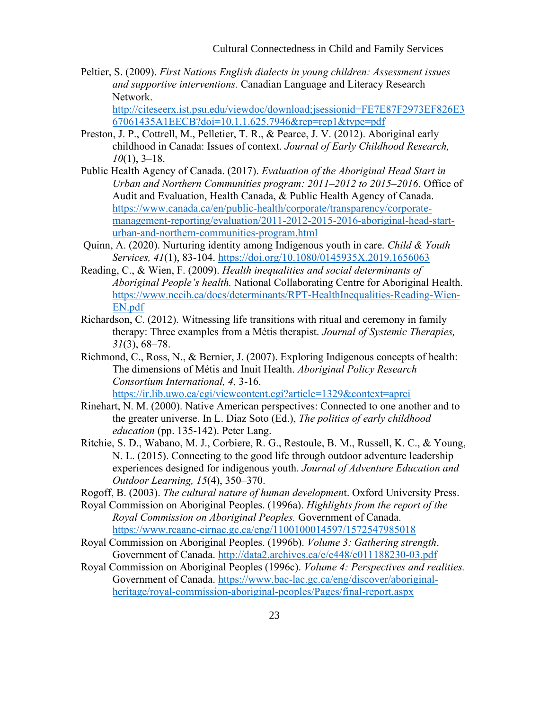Peltier, S. (2009). *First Nations English dialects in young children: Assessment issues and supportive interventions.* Canadian Language and Literacy Research Network.

[http://citeseerx.ist.psu.edu/viewdoc/download;jsessionid=FE7E87F2973EF826E3](http://citeseerx.ist.psu.edu/viewdoc/download;jsessionid=FE7E87F2973EF826E367061435A1EECB?doi=10.1.1.625.7946&rep=rep1&type=pdf) [67061435A1EECB?doi=10.1.1.625.7946&rep=rep1&type=pdf](http://citeseerx.ist.psu.edu/viewdoc/download;jsessionid=FE7E87F2973EF826E367061435A1EECB?doi=10.1.1.625.7946&rep=rep1&type=pdf)

- Preston, J. P., Cottrell, M., Pelletier, T. R., & Pearce, J. V. (2012). Aboriginal early childhood in Canada: Issues of context. *Journal of Early Childhood Research, 10*(1), 3–18.
- Public Health Agency of Canada. (2017). *Evaluation of the Aboriginal Head Start in Urban and Northern Communities program: 2011–2012 to 2015–2016*. Office of Audit and Evaluation, Health Canada, & Public Health Agency of Canada. [https://www.canada.ca/en/public-health/corporate/transparency/corporate](https://www.canada.ca/en/public-health/corporate/transparency/corporate-management-reporting/evaluation/2011-2012-2015-2016-aboriginal-head-start-urban-and-northern-communities-program.html)[management-reporting/evaluation/2011-2012-2015-2016-aboriginal-head-start](https://www.canada.ca/en/public-health/corporate/transparency/corporate-management-reporting/evaluation/2011-2012-2015-2016-aboriginal-head-start-urban-and-northern-communities-program.html)[urban-and-northern-communities-program.html](https://www.canada.ca/en/public-health/corporate/transparency/corporate-management-reporting/evaluation/2011-2012-2015-2016-aboriginal-head-start-urban-and-northern-communities-program.html)
- Quinn, A. (2020). Nurturing identity among Indigenous youth in care. *Child & Youth Services, 41*(1), 83-104. <https://doi.org/10.1080/0145935X.2019.1656063>
- Reading, C., & Wien, F. (2009). *Health inequalities and social determinants of Aboriginal People's health.* National Collaborating Centre for Aboriginal Health. [https://www.nccih.ca/docs/determinants/RPT-HealthInequalities-Reading-Wien-](https://www.nccih.ca/docs/determinants/RPT-HealthInequalities-Reading-Wien-EN.pdf)[EN.pdf](https://www.nccih.ca/docs/determinants/RPT-HealthInequalities-Reading-Wien-EN.pdf)
- Richardson, C. (2012). Witnessing life transitions with ritual and ceremony in family therapy: Three examples from a Métis therapist. *Journal of Systemic Therapies, 31*(3), 68–78.
- Richmond, C., Ross, N., & Bernier, J. (2007). Exploring Indigenous concepts of health: The dimensions of Métis and Inuit Health. *Aboriginal Policy Research Consortium International, 4,* 3-16. <https://ir.lib.uwo.ca/cgi/viewcontent.cgi?article=1329&context=aprci>
- Rinehart, N. M. (2000). Native American perspectives: Connected to one another and to the greater universe. In L. Diaz Soto (Ed.), *The politics of early childhood education* (pp. 135-142). Peter Lang.
- Ritchie, S. D., Wabano, M. J., Corbiere, R. G., Restoule, B. M., Russell, K. C., & Young, N. L. (2015). Connecting to the good life through outdoor adventure leadership experiences designed for indigenous youth. *Journal of Adventure Education and Outdoor Learning, 15*(4), 350–370.
- Rogoff, B. (2003). *The cultural nature of human developmen*t. Oxford University Press.
- Royal Commission on Aboriginal Peoples. (1996a). *Highlights from the report of the Royal Commission on Aboriginal Peoples.* Government of Canada. <https://www.rcaanc-cirnac.gc.ca/eng/1100100014597/1572547985018>
- Royal Commission on Aboriginal Peoples. (1996b). *Volume 3: Gathering strength*. Government of Canada.<http://data2.archives.ca/e/e448/e011188230-03.pdf>
- Royal Commission on Aboriginal Peoples (1996c). *Volume 4: Perspectives and realities.* Government of Canada. [https://www.bac-lac.gc.ca/eng/discover/aboriginal](https://www.bac-lac.gc.ca/eng/discover/aboriginal-heritage/royal-commission-aboriginal-peoples/Pages/final-report.aspx)[heritage/royal-commission-aboriginal-peoples/Pages/final-report.aspx](https://www.bac-lac.gc.ca/eng/discover/aboriginal-heritage/royal-commission-aboriginal-peoples/Pages/final-report.aspx)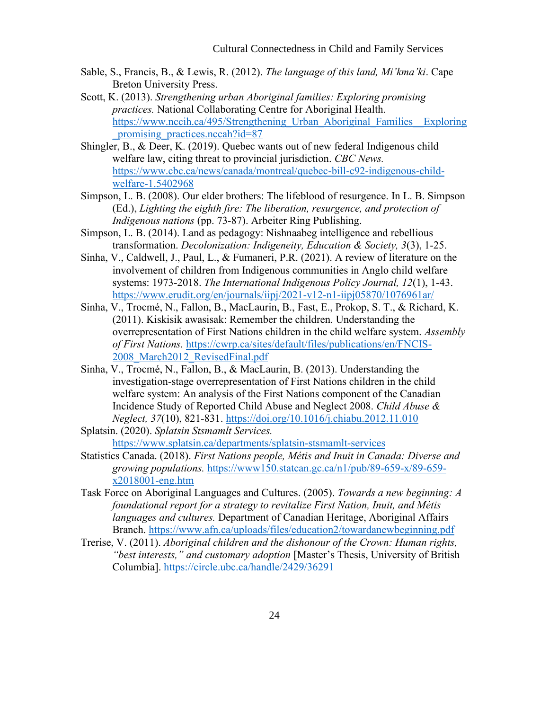- Sable, S., Francis, B., & Lewis, R. (2012). *The language of this land, Mi'kma'ki*. Cape Breton University Press.
- Scott, K. (2013). *Strengthening urban Aboriginal families: Exploring promising practices.* National Collaborating Centre for Aboriginal Health. https://www.nccih.ca/495/Strengthening Urban Aboriginal Families Exploring promising practices.nccah?id=87
- Shingler, B., & Deer, K. (2019). Quebec wants out of new federal Indigenous child welfare law, citing threat to provincial jurisdiction. *CBC News.*  [https://www.cbc.ca/news/canada/montreal/quebec-bill-c92-indigenous-child](https://www.cbc.ca/news/canada/montreal/quebec-bill-c92-indigenous-child-welfare-1.5402968)[welfare-1.5402968](https://www.cbc.ca/news/canada/montreal/quebec-bill-c92-indigenous-child-welfare-1.5402968)
- Simpson, L. B. (2008). Our elder brothers: The lifeblood of resurgence. In L. B. Simpson (Ed.), *Lighting the eighth fire: The liberation, resurgence, and protection of Indigenous nations* (pp. 73-87). Arbeiter Ring Publishing.
- Simpson, L. B. (2014). Land as pedagogy: Nishnaabeg intelligence and rebellious transformation. *Decolonization: Indigeneity, Education & Society, 3*(3), 1-25.
- Sinha, V., Caldwell, J., Paul, L., & Fumaneri, P.R. (2021). A review of literature on the involvement of children from Indigenous communities in Anglo child welfare systems: 1973-2018. *The International Indigenous Policy Journal, 12*(1), 1-43. <https://www.erudit.org/en/journals/iipj/2021-v12-n1-iipj05870/1076961ar/>
- Sinha, V., Trocmé, N., Fallon, B., MacLaurin, B., Fast, E., Prokop, S. T., & Richard, K. (2011). Kiskisik awasisak: Remember the children. Understanding the overrepresentation of First Nations children in the child welfare system. *Assembly of First Nations.* [https://cwrp.ca/sites/default/files/publications/en/FNCIS-](https://cwrp.ca/sites/default/files/publications/en/FNCIS-2008_March2012_RevisedFinal.pdf)[2008\\_March2012\\_RevisedFinal.pdf](https://cwrp.ca/sites/default/files/publications/en/FNCIS-2008_March2012_RevisedFinal.pdf)
- Sinha, V., Trocmé, N., Fallon, B., & MacLaurin, B. (2013). Understanding the investigation-stage overrepresentation of First Nations children in the child welfare system: An analysis of the First Nations component of the Canadian Incidence Study of Reported Child Abuse and Neglect 2008. *Child Abuse & Neglect, 37*(10), 821-831.<https://doi.org/10.1016/j.chiabu.2012.11.010>
- Splatsin. (2020). *Splatsin Stsmamlt Services.* <https://www.splatsin.ca/departments/splatsin-stsmamlt-services>
- Statistics Canada. (2018). *First Nations people, Métis and Inuit in Canada: Diverse and growing populations.* [https://www150.statcan.gc.ca/n1/pub/89-659-x/89-659](https://www150.statcan.gc.ca/n1/pub/89-659-x/89-659-x2018001-eng.htm) [x2018001-eng.htm](https://www150.statcan.gc.ca/n1/pub/89-659-x/89-659-x2018001-eng.htm)
- Task Force on Aboriginal Languages and Cultures. (2005). *Towards a new beginning: A foundational report for a strategy to revitalize First Nation, Inuit, and Métis languages and cultures.* Department of Canadian Heritage, Aboriginal Affairs Branch.<https://www.afn.ca/uploads/files/education2/towardanewbeginning.pdf>
- Trerise, V. (2011). *Aboriginal children and the dishonour of the Crown: Human rights, "best interests," and customary adoption* [Master's Thesis, University of British Columbia].<https://circle.ubc.ca/handle/2429/36291>